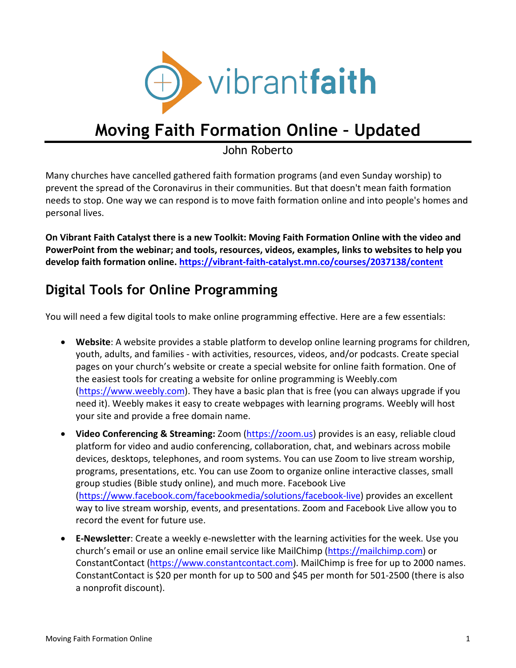

# **Moving Faith Formation Online – Updated**

John Roberto

Many churches have cancelled gathered faith formation programs (and even Sunday worship) to prevent the spread of the Coronavirus in their communities. But that doesn't mean faith formation needs to stop. One way we can respond is to move faith formation online and into people's homes and personal lives.

**On Vibrant Faith Catalyst there is a new Toolkit: Moving Faith Formation Online with the video and PowerPoint from the webinar; and tools, resources, videos, examples, links to websites to help you develop faith formation online. https://vibrant-faith-catalyst.mn.co/courses/2037138/content**

# **Digital Tools for Online Programming**

You will need a few digital tools to make online programming effective. Here are a few essentials:

- **Website**: A website provides a stable platform to develop online learning programs for children, youth, adults, and families - with activities, resources, videos, and/or podcasts. Create special pages on your church's website or create a special website for online faith formation. One of the easiest tools for creating a website for online programming is Weebly.com (https://www.weebly.com). They have a basic plan that is free (you can always upgrade if you need it). Weebly makes it easy to create webpages with learning programs. Weebly will host your site and provide a free domain name.
- **Video Conferencing & Streaming:** Zoom (https://zoom.us) provides is an easy, reliable cloud platform for video and audio conferencing, collaboration, chat, and webinars across mobile devices, desktops, telephones, and room systems. You can use Zoom to live stream worship, programs, presentations, etc. You can use Zoom to organize online interactive classes, small group studies (Bible study online), and much more. Facebook Live (https://www.facebook.com/facebookmedia/solutions/facebook-live) provides an excellent way to live stream worship, events, and presentations. Zoom and Facebook Live allow you to record the event for future use.
- **E-Newsletter**: Create a weekly e-newsletter with the learning activities for the week. Use you church's email or use an online email service like MailChimp (https://mailchimp.com) or ConstantContact (https://www.constantcontact.com). MailChimp is free for up to 2000 names. ConstantContact is \$20 per month for up to 500 and \$45 per month for 501-2500 (there is also a nonprofit discount).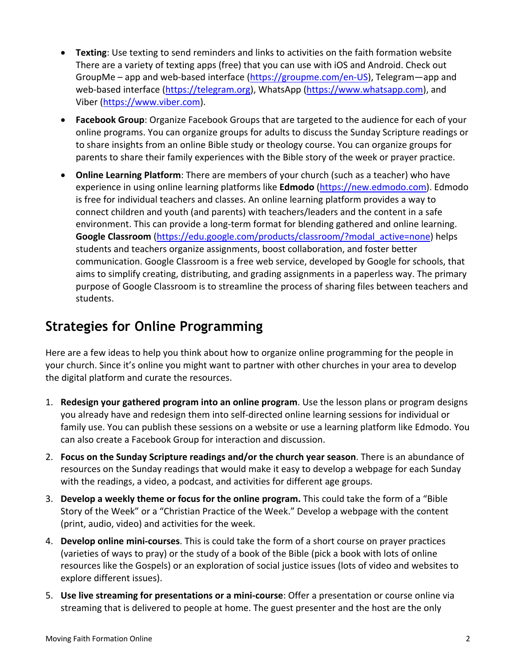- **Texting**: Use texting to send reminders and links to activities on the faith formation website There are a variety of texting apps (free) that you can use with iOS and Android. Check out GroupMe – app and web-based interface (https://groupme.com/en-US), Telegram—app and web-based interface (https://telegram.org), WhatsApp (https://www.whatsapp.com), and Viber (https://www.viber.com).
- **Facebook Group**: Organize Facebook Groups that are targeted to the audience for each of your online programs. You can organize groups for adults to discuss the Sunday Scripture readings or to share insights from an online Bible study or theology course. You can organize groups for parents to share their family experiences with the Bible story of the week or prayer practice.
- **Online Learning Platform**: There are members of your church (such as a teacher) who have experience in using online learning platforms like **Edmodo** (https://new.edmodo.com). Edmodo is free for individual teachers and classes. An online learning platform provides a way to connect children and youth (and parents) with teachers/leaders and the content in a safe environment. This can provide a long-term format for blending gathered and online learning. **Google Classroom** (https://edu.google.com/products/classroom/?modal\_active=none) helps students and teachers organize assignments, boost collaboration, and foster better communication. Google Classroom is a free web service, developed by Google for schools, that aims to simplify creating, distributing, and grading assignments in a paperless way. The primary purpose of Google Classroom is to streamline the process of sharing files between teachers and students.

# **Strategies for Online Programming**

Here are a few ideas to help you think about how to organize online programming for the people in your church. Since it's online you might want to partner with other churches in your area to develop the digital platform and curate the resources.

- 1. **Redesign your gathered program into an online program**. Use the lesson plans or program designs you already have and redesign them into self-directed online learning sessions for individual or family use. You can publish these sessions on a website or use a learning platform like Edmodo. You can also create a Facebook Group for interaction and discussion.
- 2. **Focus on the Sunday Scripture readings and/or the church year season**. There is an abundance of resources on the Sunday readings that would make it easy to develop a webpage for each Sunday with the readings, a video, a podcast, and activities for different age groups.
- 3. **Develop a weekly theme or focus for the online program.** This could take the form of a "Bible Story of the Week" or a "Christian Practice of the Week." Develop a webpage with the content (print, audio, video) and activities for the week.
- 4. **Develop online mini-courses**. This is could take the form of a short course on prayer practices (varieties of ways to pray) or the study of a book of the Bible (pick a book with lots of online resources like the Gospels) or an exploration of social justice issues (lots of video and websites to explore different issues).
- 5. **Use live streaming for presentations or a mini-course**: Offer a presentation or course online via streaming that is delivered to people at home. The guest presenter and the host are the only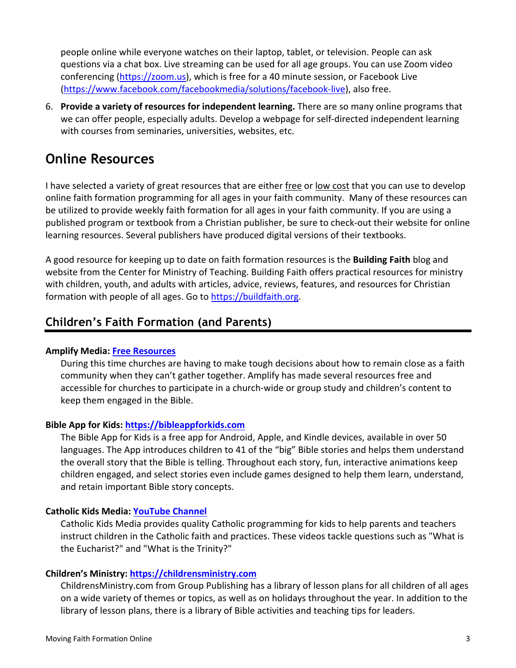people online while everyone watches on their laptop, tablet, or television. People can ask questions via a chat box. Live streaming can be used for all age groups. You can use Zoom video conferencing (https://zoom.us), which is free for a 40 minute session, or Facebook Live (https://www.facebook.com/facebookmedia/solutions/facebook-live), also free.

6. **Provide a variety of resources for independent learning.** There are so many online programs that we can offer people, especially adults. Develop a webpage for self-directed independent learning with courses from seminaries, universities, websites, etc.

# **Online Resources**

I have selected a variety of great resources that are either free or low cost that you can use to develop online faith formation programming for all ages in your faith community. Many of these resources can be utilized to provide weekly faith formation for all ages in your faith community. If you are using a published program or textbook from a Christian publisher, be sure to check-out their website for online learning resources. Several publishers have produced digital versions of their textbooks.

A good resource for keeping up to date on faith formation resources is the **Building Faith** blog and website from the Center for Ministry of Teaching. Building Faith offers practical resources for ministry with children, youth, and adults with articles, advice, reviews, features, and resources for Christian formation with people of all ages. Go to https://buildfaith.org.

# **Children's Faith Formation (and Parents)**

# **Amplify Media: Free Resources**

During this time churches are having to make tough decisions about how to remain close as a faith community when they can't gather together. Amplify has made several resources free and accessible for churches to participate in a church-wide or group study and children's content to keep them engaged in the Bible.

# **Bible App for Kids: https://bibleappforkids.com**

The Bible App for Kids is a free app for Android, Apple, and Kindle devices, available in over 50 languages. The App introduces children to 41 of the "big" Bible stories and helps them understand the overall story that the Bible is telling. Throughout each story, fun, interactive animations keep children engaged, and select stories even include games designed to help them learn, understand, and retain important Bible story concepts.

# **Catholic Kids Media: YouTube Channel**

Catholic Kids Media provides quality Catholic programming for kids to help parents and teachers instruct children in the Catholic faith and practices. These videos tackle questions such as "What is the Eucharist?" and "What is the Trinity?"

# **Children's Ministry: https://childrensministry.com**

ChildrensMinistry.com from Group Publishing has a library of lesson plans for all children of all ages on a wide variety of themes or topics, as well as on holidays throughout the year. In addition to the library of lesson plans, there is a library of Bible activities and teaching tips for leaders.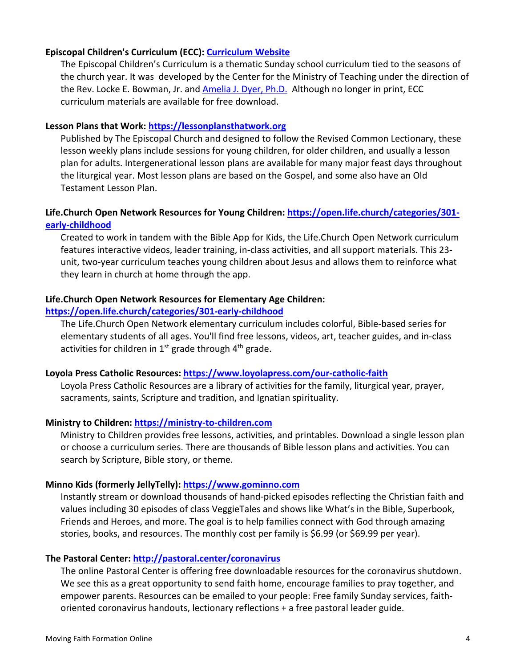### **Episcopal Children's Curriculum (ECC): Curriculum Website**

The Episcopal Children's Curriculum is a thematic Sunday school curriculum tied to the seasons of the church year. It was developed by the Center for the Ministry of Teaching under the direction of the Rev. Locke E. Bowman, Jr. and Amelia J. Dyer, Ph.D. Although no longer in print, ECC curriculum materials are available for free download.

### **Lesson Plans that Work: https://lessonplansthatwork.org**

Published by The Episcopal Church and designed to follow the Revised Common Lectionary, these lesson weekly plans include sessions for young children, for older children, and usually a lesson plan for adults. Intergenerational lesson plans are available for many major feast days throughout the liturgical year. Most lesson plans are based on the Gospel, and some also have an Old Testament Lesson Plan.

# **Life.Church Open Network Resources for Young Children: https://open.life.church/categories/301 early-childhood**

Created to work in tandem with the Bible App for Kids, the Life.Church Open Network curriculum features interactive videos, leader training, in-class activities, and all support materials. This 23 unit, two-year curriculum teaches young children about Jesus and allows them to reinforce what they learn in church at home through the app.

# **Life.Church Open Network Resources for Elementary Age Children:**

### **https://open.life.church/categories/301-early-childhood**

The Life.Church Open Network elementary curriculum includes colorful, Bible-based series for elementary students of all ages. You'll find free lessons, videos, art, teacher guides, and in-class activities for children in  $1<sup>st</sup>$  grade through  $4<sup>th</sup>$  grade.

### **Loyola Press Catholic Resources: https://www.loyolapress.com/our-catholic-faith**

Loyola Press Catholic Resources are a library of activities for the family, liturgical year, prayer, sacraments, saints, Scripture and tradition, and Ignatian spirituality.

# **Ministry to Children: https://ministry-to-children.com**

Ministry to Children provides free lessons, activities, and printables. Download a single lesson plan or choose a curriculum series. There are thousands of Bible lesson plans and activities. You can search by Scripture, Bible story, or theme.

### **Minno Kids (formerly JellyTelly): https://www.gominno.com**

Instantly stream or download thousands of hand-picked episodes reflecting the Christian faith and values including 30 episodes of class VeggieTales and shows like What's in the Bible, Superbook, Friends and Heroes, and more. The goal is to help families connect with God through amazing stories, books, and resources. The monthly cost per family is \$6.99 (or \$69.99 per year).

# **The Pastoral Center: http://pastoral.center/coronavirus**

The online Pastoral Center is offering free downloadable resources for the coronavirus shutdown. We see this as a great opportunity to send faith home, encourage families to pray together, and empower parents. Resources can be emailed to your people: Free family Sunday services, faithoriented coronavirus handouts, lectionary reflections + a free pastoral leader guide.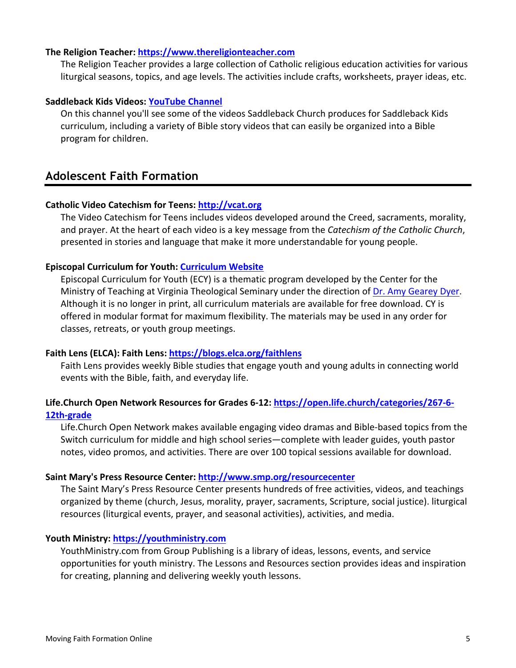### **The Religion Teacher: https://www.thereligionteacher.com**

The Religion Teacher provides a large collection of Catholic religious education activities for various liturgical seasons, topics, and age levels. The activities include crafts, worksheets, prayer ideas, etc.

### **Saddleback Kids Videos: YouTube Channel**

On this channel you'll see some of the videos Saddleback Church produces for Saddleback Kids curriculum, including a variety of Bible story videos that can easily be organized into a Bible program for children.

# **Adolescent Faith Formation**

### **Catholic Video Catechism for Teens: http://vcat.org**

The Video Catechism for Teens includes videos developed around the Creed, sacraments, morality, and prayer. At the heart of each video is a key message from the *Catechism of the Catholic Church*, presented in stories and language that make it more understandable for young people.

### **Episcopal Curriculum for Youth: Curriculum Website**

Episcopal Curriculum for Youth (ECY) is a thematic program developed by the Center for the Ministry of Teaching at Virginia Theological Seminary under the direction of Dr. Amy Gearey Dyer. Although it is no longer in print, all curriculum materials are available for free download. CY is offered in modular format for maximum flexibility. The materials may be used in any order for classes, retreats, or youth group meetings.

### **Faith Lens (ELCA): Faith Lens: https://blogs.elca.org/faithlens**

Faith Lens provides weekly Bible studies that engage youth and young adults in connecting world events with the Bible, faith, and everyday life.

# **Life.Church Open Network Resources for Grades 6-12: https://open.life.church/categories/267-6- 12th-grade**

Life.Church Open Network makes available engaging video dramas and Bible-based topics from the Switch curriculum for middle and high school series—complete with leader guides, youth pastor notes, video promos, and activities. There are over 100 topical sessions available for download.

### **Saint Mary's Press Resource Center: http://www.smp.org/resourcecenter**

The Saint Mary's Press Resource Center presents hundreds of free activities, videos, and teachings organized by theme (church, Jesus, morality, prayer, sacraments, Scripture, social justice). liturgical resources (liturgical events, prayer, and seasonal activities), activities, and media.

### **Youth Ministry: https://youthministry.com**

YouthMinistry.com from Group Publishing is a library of ideas, lessons, events, and service opportunities for youth ministry. The Lessons and Resources section provides ideas and inspiration for creating, planning and delivering weekly youth lessons.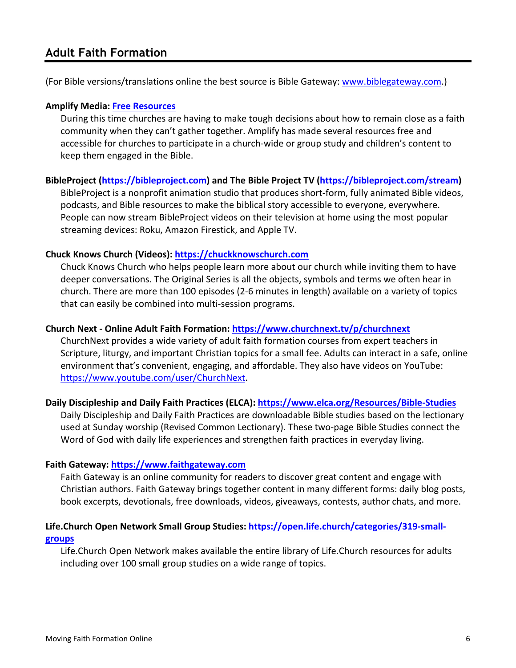# **Adult Faith Formation**

(For Bible versions/translations online the best source is Bible Gateway: www.biblegateway.com.)

### **Amplify Media: Free Resources**

During this time churches are having to make tough decisions about how to remain close as a faith community when they can't gather together. Amplify has made several resources free and accessible for churches to participate in a church-wide or group study and children's content to keep them engaged in the Bible.

### **BibleProject (https://bibleproject.com) and The Bible Project TV (https://bibleproject.com/stream)**

BibleProject is a nonprofit animation studio that produces short-form, fully animated Bible videos, podcasts, and Bible resources to make the biblical story accessible to everyone, everywhere. People can now stream BibleProject videos on their television at home using the most popular streaming devices: Roku, Amazon Firestick, and Apple TV.

# **Chuck Knows Church (Videos): https://chuckknowschurch.com**

Chuck Knows Church who helps people learn more about our church while inviting them to have deeper conversations. The Original Series is all the objects, symbols and terms we often hear in church. There are more than 100 episodes (2-6 minutes in length) available on a variety of topics that can easily be combined into multi-session programs.

### **Church Next - Online Adult Faith Formation: https://www.churchnext.tv/p/churchnext**

ChurchNext provides a wide variety of adult faith formation courses from expert teachers in Scripture, liturgy, and important Christian topics for a small fee. Adults can interact in a safe, online environment that's convenient, engaging, and affordable. They also have videos on YouTube: https://www.youtube.com/user/ChurchNext.

### **Daily Discipleship and Daily Faith Practices (ELCA): https://www.elca.org/Resources/Bible-Studies**

Daily Discipleship and Daily Faith Practices are downloadable Bible studies based on the lectionary used at Sunday worship (Revised Common Lectionary). These two-page Bible Studies connect the Word of God with daily life experiences and strengthen faith practices in everyday living.

### **Faith Gateway: https://www.faithgateway.com**

Faith Gateway is an online community for readers to discover great content and engage with Christian authors. Faith Gateway brings together content in many different forms: daily blog posts, book excerpts, devotionals, free downloads, videos, giveaways, contests, author chats, and more.

# **Life.Church Open Network Small Group Studies: https://open.life.church/categories/319-smallgroups**

Life.Church Open Network makes available the entire library of Life.Church resources for adults including over 100 small group studies on a wide range of topics.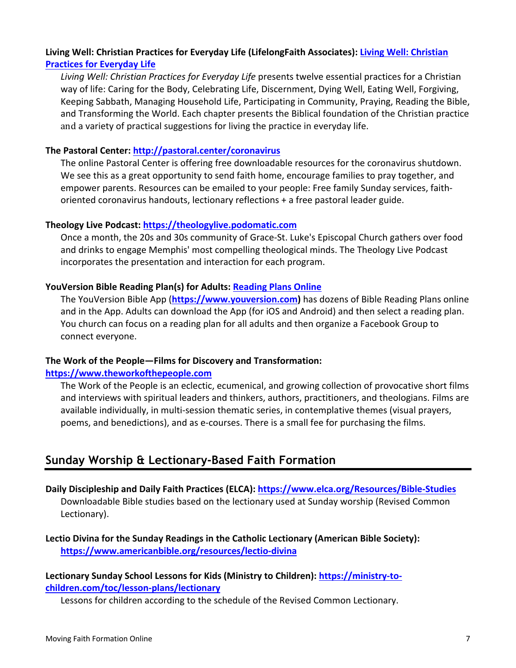# **Living Well: Christian Practices for Everyday Life (LifelongFaith Associates): Living Well: Christian Practices for Everyday Life**

*Living Well: Christian Practices for Everyday Life* presents twelve essential practices for a Christian way of life: Caring for the Body, Celebrating Life, Discernment, Dying Well, Eating Well, Forgiving, Keeping Sabbath, Managing Household Life, Participating in Community, Praying, Reading the Bible, and Transforming the World. Each chapter presents the Biblical foundation of the Christian practice and a variety of practical suggestions for living the practice in everyday life.

# **The Pastoral Center: http://pastoral.center/coronavirus**

The online Pastoral Center is offering free downloadable resources for the coronavirus shutdown. We see this as a great opportunity to send faith home, encourage families to pray together, and empower parents. Resources can be emailed to your people: Free family Sunday services, faithoriented coronavirus handouts, lectionary reflections + a free pastoral leader guide.

# **Theology Live Podcast: https://theologylive.podomatic.com**

Once a month, the 20s and 30s community of Grace-St. Luke's Episcopal Church gathers over food and drinks to engage Memphis' most compelling theological minds. The Theology Live Podcast incorporates the presentation and interaction for each program.

# **YouVersion Bible Reading Plan(s) for Adults: Reading Plans Online**

The YouVersion Bible App (**https://www.youversion.com)** has dozens of Bible Reading Plans online and in the App. Adults can download the App (for iOS and Android) and then select a reading plan. You church can focus on a reading plan for all adults and then organize a Facebook Group to connect everyone.

# **The Work of the People—Films for Discovery and Transformation:**

# **https://www.theworkofthepeople.com**

The Work of the People is an eclectic, ecumenical, and growing collection of provocative short films and interviews with spiritual leaders and thinkers, authors, practitioners, and theologians. Films are available individually, in multi-session thematic series, in contemplative themes (visual prayers, poems, and benedictions), and as e-courses. There is a small fee for purchasing the films.

# **Sunday Worship & Lectionary-Based Faith Formation**

**Daily Discipleship and Daily Faith Practices (ELCA): https://www.elca.org/Resources/Bible-Studies** Downloadable Bible studies based on the lectionary used at Sunday worship (Revised Common Lectionary).

**Lectio Divina for the Sunday Readings in the Catholic Lectionary (American Bible Society): https://www.americanbible.org/resources/lectio-divina**

# **Lectionary Sunday School Lessons for Kids (Ministry to Children): https://ministry-tochildren.com/toc/lesson-plans/lectionary**

Lessons for children according to the schedule of the Revised Common Lectionary.